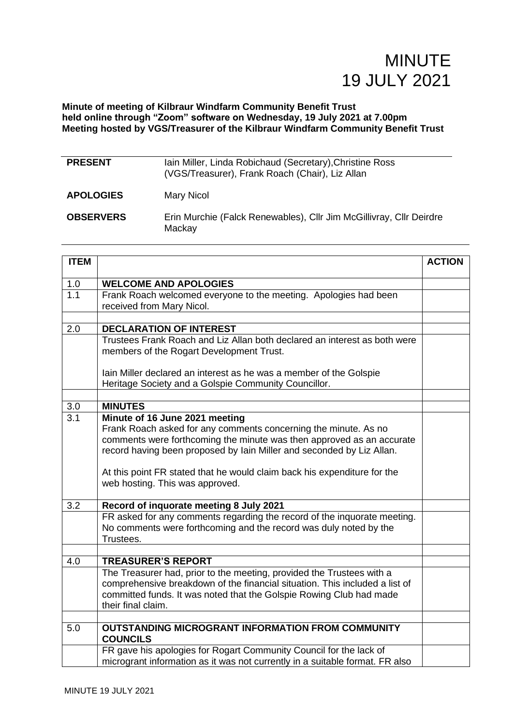**Minute of meeting of Kilbraur Windfarm Community Benefit Trust held online through "Zoom" software on Wednesday, 19 July 2021 at 7.00pm Meeting hosted by VGS/Treasurer of the Kilbraur Windfarm Community Benefit Trust**

| <b>PRESENT</b>   | Iain Miller, Linda Robichaud (Secretary), Christine Ross<br>(VGS/Treasurer), Frank Roach (Chair), Liz Allan |
|------------------|-------------------------------------------------------------------------------------------------------------|
| <b>APOLOGIES</b> | Mary Nicol                                                                                                  |
| <b>OBSERVERS</b> | Erin Murchie (Falck Renewables), Cllr Jim McGillivray, Cllr Deirdre<br>Mackay                               |

| <b>ITEM</b>      |                                                                                                                                                                                                                                                                                                                                 | <b>ACTION</b> |
|------------------|---------------------------------------------------------------------------------------------------------------------------------------------------------------------------------------------------------------------------------------------------------------------------------------------------------------------------------|---------------|
| 1.0              | <b>WELCOME AND APOLOGIES</b>                                                                                                                                                                                                                                                                                                    |               |
| $\overline{1.1}$ | Frank Roach welcomed everyone to the meeting. Apologies had been<br>received from Mary Nicol.                                                                                                                                                                                                                                   |               |
|                  |                                                                                                                                                                                                                                                                                                                                 |               |
| 2.0              | <b>DECLARATION OF INTEREST</b>                                                                                                                                                                                                                                                                                                  |               |
|                  | Trustees Frank Roach and Liz Allan both declared an interest as both were<br>members of the Rogart Development Trust.                                                                                                                                                                                                           |               |
|                  | lain Miller declared an interest as he was a member of the Golspie<br>Heritage Society and a Golspie Community Councillor.                                                                                                                                                                                                      |               |
|                  |                                                                                                                                                                                                                                                                                                                                 |               |
| 3.0              | <b>MINUTES</b>                                                                                                                                                                                                                                                                                                                  |               |
| 3.1              | Minute of 16 June 2021 meeting<br>Frank Roach asked for any comments concerning the minute. As no<br>comments were forthcoming the minute was then approved as an accurate<br>record having been proposed by lain Miller and seconded by Liz Allan.<br>At this point FR stated that he would claim back his expenditure for the |               |
|                  | web hosting. This was approved.                                                                                                                                                                                                                                                                                                 |               |
| 3.2              | Record of inquorate meeting 8 July 2021                                                                                                                                                                                                                                                                                         |               |
|                  | FR asked for any comments regarding the record of the inquorate meeting.<br>No comments were forthcoming and the record was duly noted by the<br>Trustees.                                                                                                                                                                      |               |
|                  |                                                                                                                                                                                                                                                                                                                                 |               |
| 4.0              | <b>TREASURER'S REPORT</b>                                                                                                                                                                                                                                                                                                       |               |
|                  | The Treasurer had, prior to the meeting, provided the Trustees with a<br>comprehensive breakdown of the financial situation. This included a list of<br>committed funds. It was noted that the Golspie Rowing Club had made<br>their final claim.                                                                               |               |
|                  |                                                                                                                                                                                                                                                                                                                                 |               |
| 5.0              | <b>OUTSTANDING MICROGRANT INFORMATION FROM COMMUNITY</b><br><b>COUNCILS</b>                                                                                                                                                                                                                                                     |               |
|                  | FR gave his apologies for Rogart Community Council for the lack of<br>microgrant information as it was not currently in a suitable format. FR also                                                                                                                                                                              |               |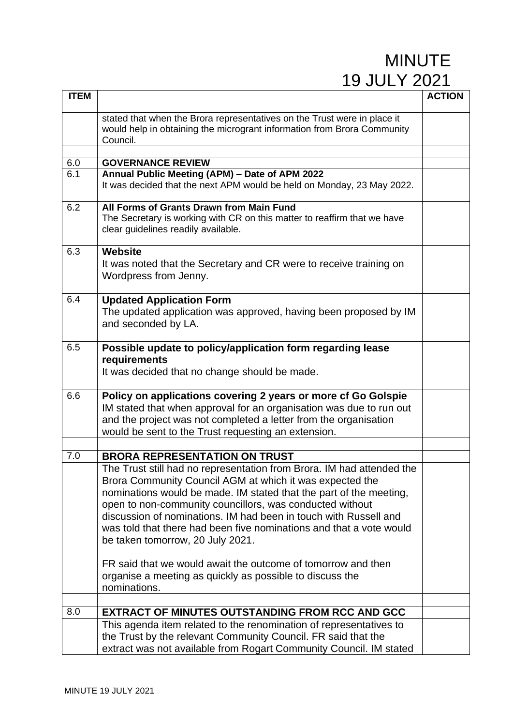| <b>ITEM</b> |                                                                                                                                                                                                                                                                                                                                                                                                                                                                                            | <b>ACTION</b> |
|-------------|--------------------------------------------------------------------------------------------------------------------------------------------------------------------------------------------------------------------------------------------------------------------------------------------------------------------------------------------------------------------------------------------------------------------------------------------------------------------------------------------|---------------|
|             | stated that when the Brora representatives on the Trust were in place it<br>would help in obtaining the microgrant information from Brora Community<br>Council.                                                                                                                                                                                                                                                                                                                            |               |
| 6.0         | <b>GOVERNANCE REVIEW</b>                                                                                                                                                                                                                                                                                                                                                                                                                                                                   |               |
| 6.1         | Annual Public Meeting (APM) - Date of APM 2022<br>It was decided that the next APM would be held on Monday, 23 May 2022.                                                                                                                                                                                                                                                                                                                                                                   |               |
| 6.2         | All Forms of Grants Drawn from Main Fund<br>The Secretary is working with CR on this matter to reaffirm that we have<br>clear guidelines readily available.                                                                                                                                                                                                                                                                                                                                |               |
| 6.3         | <b>Website</b><br>It was noted that the Secretary and CR were to receive training on<br>Wordpress from Jenny.                                                                                                                                                                                                                                                                                                                                                                              |               |
| 6.4         | <b>Updated Application Form</b><br>The updated application was approved, having been proposed by IM<br>and seconded by LA.                                                                                                                                                                                                                                                                                                                                                                 |               |
| 6.5         | Possible update to policy/application form regarding lease<br>requirements<br>It was decided that no change should be made.                                                                                                                                                                                                                                                                                                                                                                |               |
| 6.6         | Policy on applications covering 2 years or more cf Go Golspie<br>IM stated that when approval for an organisation was due to run out<br>and the project was not completed a letter from the organisation<br>would be sent to the Trust requesting an extension.                                                                                                                                                                                                                            |               |
|             |                                                                                                                                                                                                                                                                                                                                                                                                                                                                                            |               |
| 7.0         | <b>BRORA REPRESENTATION ON TRUST</b><br>The Trust still had no representation from Brora. IM had attended the<br>Brora Community Council AGM at which it was expected the<br>nominations would be made. IM stated that the part of the meeting,<br>open to non-community councillors, was conducted without<br>discussion of nominations. IM had been in touch with Russell and<br>was told that there had been five nominations and that a vote would<br>be taken tomorrow, 20 July 2021. |               |
|             | FR said that we would await the outcome of tomorrow and then<br>organise a meeting as quickly as possible to discuss the<br>nominations.                                                                                                                                                                                                                                                                                                                                                   |               |
| 8.0         | <b>EXTRACT OF MINUTES OUTSTANDING FROM RCC AND GCC</b>                                                                                                                                                                                                                                                                                                                                                                                                                                     |               |
|             | This agenda item related to the renomination of representatives to<br>the Trust by the relevant Community Council. FR said that the<br>extract was not available from Rogart Community Council. IM stated                                                                                                                                                                                                                                                                                  |               |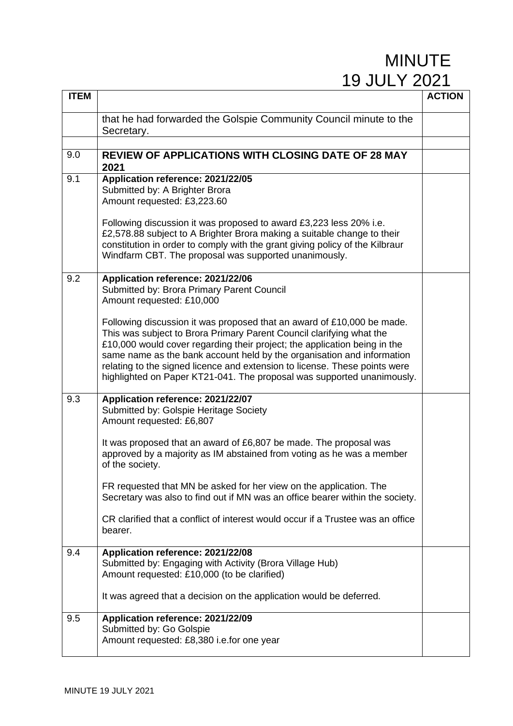| <b>ITEM</b> |                                                                                                                                                                                                                                                                                                                                                                                                                                                               | <b>ACTION</b> |
|-------------|---------------------------------------------------------------------------------------------------------------------------------------------------------------------------------------------------------------------------------------------------------------------------------------------------------------------------------------------------------------------------------------------------------------------------------------------------------------|---------------|
|             | that he had forwarded the Golspie Community Council minute to the<br>Secretary.                                                                                                                                                                                                                                                                                                                                                                               |               |
|             |                                                                                                                                                                                                                                                                                                                                                                                                                                                               |               |
| 9.0         | <b>REVIEW OF APPLICATIONS WITH CLOSING DATE OF 28 MAY</b><br>2021                                                                                                                                                                                                                                                                                                                                                                                             |               |
| 9.1         | Application reference: 2021/22/05<br>Submitted by: A Brighter Brora<br>Amount requested: £3,223.60                                                                                                                                                                                                                                                                                                                                                            |               |
|             | Following discussion it was proposed to award £3,223 less 20% i.e.<br>£2,578.88 subject to A Brighter Brora making a suitable change to their<br>constitution in order to comply with the grant giving policy of the Kilbraur<br>Windfarm CBT. The proposal was supported unanimously.                                                                                                                                                                        |               |
| 9.2         | Application reference: 2021/22/06<br>Submitted by: Brora Primary Parent Council<br>Amount requested: £10,000                                                                                                                                                                                                                                                                                                                                                  |               |
|             | Following discussion it was proposed that an award of £10,000 be made.<br>This was subject to Brora Primary Parent Council clarifying what the<br>£10,000 would cover regarding their project; the application being in the<br>same name as the bank account held by the organisation and information<br>relating to the signed licence and extension to license. These points were<br>highlighted on Paper KT21-041. The proposal was supported unanimously. |               |
| 9.3         | Application reference: 2021/22/07<br>Submitted by: Golspie Heritage Society<br>Amount requested: £6,807                                                                                                                                                                                                                                                                                                                                                       |               |
|             | It was proposed that an award of £6,807 be made. The proposal was<br>approved by a majority as IM abstained from voting as he was a member<br>of the society.                                                                                                                                                                                                                                                                                                 |               |
|             | FR requested that MN be asked for her view on the application. The<br>Secretary was also to find out if MN was an office bearer within the society.                                                                                                                                                                                                                                                                                                           |               |
|             | CR clarified that a conflict of interest would occur if a Trustee was an office<br>bearer.                                                                                                                                                                                                                                                                                                                                                                    |               |
| 9.4         | Application reference: 2021/22/08<br>Submitted by: Engaging with Activity (Brora Village Hub)<br>Amount requested: £10,000 (to be clarified)                                                                                                                                                                                                                                                                                                                  |               |
|             | It was agreed that a decision on the application would be deferred.                                                                                                                                                                                                                                                                                                                                                                                           |               |
| 9.5         | Application reference: 2021/22/09<br>Submitted by: Go Golspie<br>Amount requested: £8,380 i.e.for one year                                                                                                                                                                                                                                                                                                                                                    |               |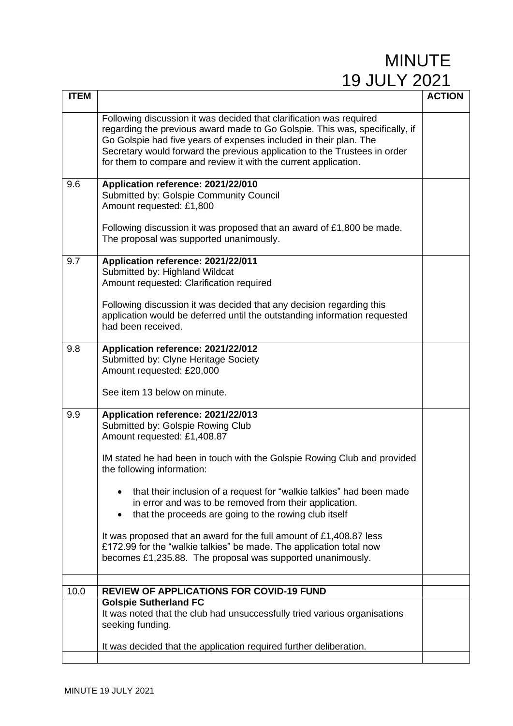| <b>ITEM</b> |                                                                                                                                                                                                                                                                                                                                                                                                                                                                                                                                                                                                                         | <b>ACTION</b> |
|-------------|-------------------------------------------------------------------------------------------------------------------------------------------------------------------------------------------------------------------------------------------------------------------------------------------------------------------------------------------------------------------------------------------------------------------------------------------------------------------------------------------------------------------------------------------------------------------------------------------------------------------------|---------------|
|             | Following discussion it was decided that clarification was required<br>regarding the previous award made to Go Golspie. This was, specifically, if<br>Go Golspie had five years of expenses included in their plan. The<br>Secretary would forward the previous application to the Trustees in order<br>for them to compare and review it with the current application.                                                                                                                                                                                                                                                 |               |
| 9.6         | Application reference: 2021/22/010<br>Submitted by: Golspie Community Council<br>Amount requested: £1,800<br>Following discussion it was proposed that an award of £1,800 be made.<br>The proposal was supported unanimously.                                                                                                                                                                                                                                                                                                                                                                                           |               |
| 9.7         | Application reference: 2021/22/011<br>Submitted by: Highland Wildcat<br>Amount requested: Clarification required<br>Following discussion it was decided that any decision regarding this<br>application would be deferred until the outstanding information requested<br>had been received.                                                                                                                                                                                                                                                                                                                             |               |
| 9.8         | Application reference: 2021/22/012<br>Submitted by: Clyne Heritage Society<br>Amount requested: £20,000<br>See item 13 below on minute.                                                                                                                                                                                                                                                                                                                                                                                                                                                                                 |               |
| 9.9         | Application reference: 2021/22/013<br>Submitted by: Golspie Rowing Club<br>Amount requested: £1,408.87<br>IM stated he had been in touch with the Golspie Rowing Club and provided<br>the following information:<br>that their inclusion of a request for "walkie talkies" had been made<br>in error and was to be removed from their application.<br>that the proceeds are going to the rowing club itself<br>It was proposed that an award for the full amount of £1,408.87 less<br>£172.99 for the "walkie talkies" be made. The application total now<br>becomes £1,235.88. The proposal was supported unanimously. |               |
| 10.0        | <b>REVIEW OF APPLICATIONS FOR COVID-19 FUND</b>                                                                                                                                                                                                                                                                                                                                                                                                                                                                                                                                                                         |               |
|             | <b>Golspie Sutherland FC</b><br>It was noted that the club had unsuccessfully tried various organisations<br>seeking funding.<br>It was decided that the application required further deliberation.                                                                                                                                                                                                                                                                                                                                                                                                                     |               |
|             |                                                                                                                                                                                                                                                                                                                                                                                                                                                                                                                                                                                                                         |               |